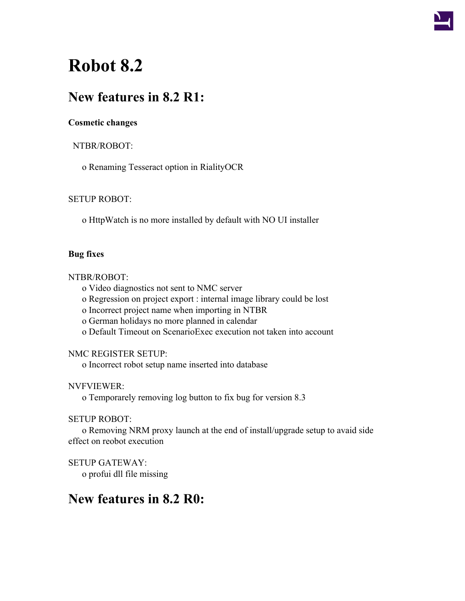

# **Robot 8.2**

# **New features in 8.2 R1:**

# **Cosmetic changes**

# NTBR/ROBOT:

o Renaming Tesseract option in RialityOCR

# SETUP ROBOT:

o HttpWatch is no more installed by default with NO UI installer

#### **Bug fixes**

#### NTBR/ROBOT:

o Video diagnostics not sent to NMC server

o Regression on project export : internal image library could be lost

o Incorrect project name when importing in NTBR

o German holidays no more planned in calendar

o Default Timeout on ScenarioExec execution not taken into account

# NMC REGISTER SETUP:

o Incorrect robot setup name inserted into database

# NVFVIEWER:

o Temporarely removing log button to fix bug for version 8.3

# SETUP ROBOT:

o Removing NRM proxy launch at the end of install/upgrade setup to avaid side effect on reobot execution

SETUP GATEWAY:

o profui dll file missing

# **New features in 8.2 R0:**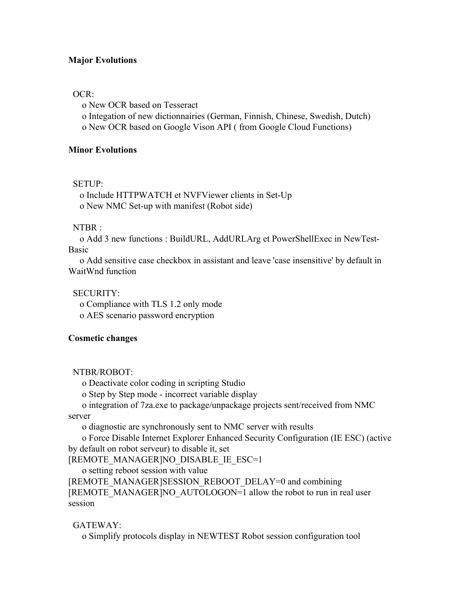#### **Major Evolutions**

#### OCR:

o New OCR based on Tesseract

o Integation of new dictionnairies (German, Finnish, Chinese, Swedish, Dutch) o New OCR based on Google Vison API ( from Google Cloud Functions)

**Minor Evolutions**

#### SETUP:

o Include HTTPWATCH et NVFViewer clients in Set-Up o New NMC Set-up with manifest (Robot side)

#### NTBR :

o Add 3 new functions : BuildURL, AddURLArg et PowerShellExec in NewTest-Basic

o Add sensitive case checkbox in assistant and leave 'case insensitive' by default in WaitWnd function

# SECURITY:

o Compliance with TLS 1.2 only mode

o AES scenario password encryption

#### **Cosmetic changes**

NTBR/ROBOT:

o Deactivate color coding in scripting Studio

o Step by Step mode - incorrect variable display

o integration of 7za.exe to package/unpackage projects sent/received from NMC

server

o diagnostic are synchronously sent to NMC server with results

o Force Disable Internet Explorer Enhanced Security Configuration (IE ESC) (active by default on robot serveur) to disable it, set

[REMOTE\_MANAGER]NO\_DISABLE\_IE\_ESC=1

o setting reboot session with value

[REMOTE\_MANAGER]SESSION\_REBOOT\_DELAY=0 and combining [REMOTE\_MANAGER]NO\_AUTOLOGON=1 allow the robot to run in real user session

GATEWAY:

o Simplify protocols display in NEWTEST Robot session configuration tool